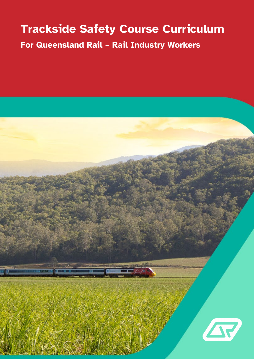# **Trackside Safety Course Curriculum**

**For Queensland Rail – Rail Industry Workers**

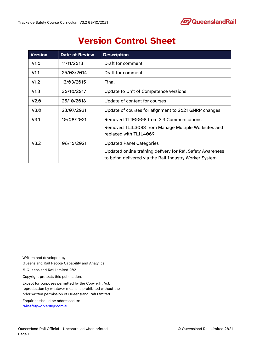

## **Version Control Sheet**

| <b>Version</b> | <b>Date of Review</b> | <b>Description</b>                                         |
|----------------|-----------------------|------------------------------------------------------------|
| V1.0           | 11/11/2013            | Draft for comment                                          |
| V1.1           | 25/03/2014            | Draft for comment                                          |
| V1.2           | 13/03/2015            | Final                                                      |
| V1.3           | 30/10/2017            | Update to Unit of Competence versions                      |
| V2.0           | 25/10/2018            | Update of content for courses                              |
| V3.0           | 23/07/2021            | Update of courses for alignment to 2021 QNRP changes       |
| V3.1           | 10/08/2021            | Removed TLIFNNN8 from 3.3 Communications                   |
|                |                       | Removed TLIL3083 from Manage Multiple Worksites and        |
|                |                       | replaced with TLIL4069                                     |
| V3.2           | 08/10/2021            | <b>Updated Panel Categories</b>                            |
|                |                       | Updated online training delivery for Rail Safety Awareness |
|                |                       | to being delivered via the Rail Industry Worker System     |

Written and developed by Queensland Rail People Capability and Analytics © Queensland Rail Limited 2021 Copyright protects this publication. Except for purposes permitted by the Copyright Act, reproduction by whatever means is prohibited without the prior written permission of Queensland Rail Limited. Enquiries should be addressed to:

[railsafetyworker@qr.com.au](mailto:railsafetyworker@qr.com.au)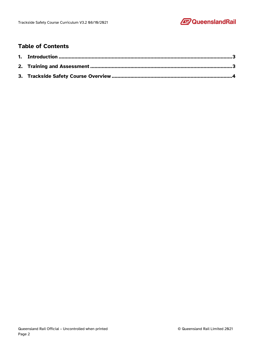

### **Table of Contents**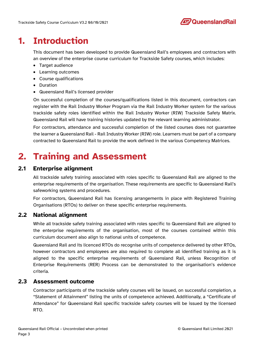

## <span id="page-3-0"></span>**1. Introduction**

This document has been developed to provide Queensland Rail's employees and contractors with an overview of the enterprise course curriculum for Trackside Safety courses, which includes:

- Target audience
- Learning outcomes
- Course qualifications
- Duration
- Queensland Rail's licensed provider

On successful completion of the courses/qualifications listed in this document, contractors can register with the Rail Industry Worker Program via the Rail Industry Worker system for the various trackside safety roles identified within the Rail Industry Worker (RIW) Trackside Safety Matrix. Queensland Rail will have training histories updated by the relevant learning administrator.

For contractors, attendance and successful completion of the listed courses does not guarantee the learner a Queensland Rail - Rail Industry Worker (RIW) role. Learners must be part of a company contracted to Queensland Rail to provide the work defined in the various Competency Matrices.

## <span id="page-3-1"></span>**2. Training and Assessment**

### **2.1 Enterprise alignment**

All trackside safety training associated with roles specific to Queensland Rail are aligned to the enterprise requirements of the organisation. These requirements are specific to Queensland Rail's safeworking systems and procedures.

For contractors, Queensland Rail has licensing arrangements in place with Registered Training Organisations (RTOs) to deliver on these specific enterprise requirements.

#### **2.2 National alignment**

While all trackside safety training associated with roles specific to Queensland Rail are aligned to the enterprise requirements of the organisation, most of the courses contained within this curriculum document also align to national units of competence.

Queensland Rail and its licenced RTOs do recognise units of competence delivered by other RTOs, however contractors and employees are also required to complete all identified training as it is aligned to the specific enterprise requirements of Queensland Rail, unless Recognition of Enterprise Requirements (RER) Process can be demonstrated to the organisation's evidence criteria.

#### **2.3 Assessment outcome**

Contractor participants of the trackside safety courses will be issued, on successful completion, a "Statement of Attainment" listing the units of competence achieved. Additionally, a "Certificate of Attendance" for Queensland Rail specific trackside safety courses will be issued by the licensed RTO.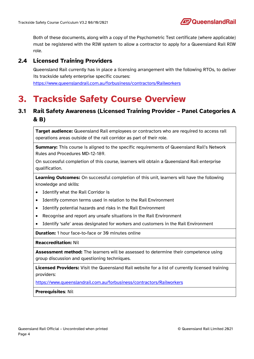Both of these documents, along with a copy of the Psychometric Test certificate (where applicable) must be registered with the RIW system to allow a contractor to apply for a Queensland Rail RIW role.

#### **2.4 Licensed Training Providers**

Queensland Rail currently has in place a licensing arrangement with the following RTOs, to deliver its trackside safety enterprise specific courses: <https://www.queenslandrail.com.au/forbusiness/contractors/Railworkers>

## <span id="page-4-0"></span>**3. Trackside Safety Course Overview**

### **3.1 Rail Safety Awareness (Licensed Training Provider – Panel Categories A & B)**

**Target audience:** Queensland Rail employees or contractors who are required to access rail operations areas outside of the rail corridor as part of their role.

**Summary:** This course is aligned to the specific requirements of Queensland Rail's Network Rules and Procedures MD-12-189.

On successful completion of this course, learners will obtain a Queensland Rail enterprise qualification.

**Learning Outcomes:** On successful completion of this unit, learners will have the following knowledge and skills:

- Identify what the Rail Corridor is
- Identify common terms used in relation to the Rail Environment
- Identify potential hazards and risks in the Rail Environment
- Recognise and report any unsafe situations in the Rail Environment
- Identify 'safe' areas designated for workers and customers in the Rail Environment

**Duration:** 1 hour face-to-face or 30 minutes online

**Reaccreditation:** Nil

**Assessment method:** The learners will be assessed to determine their competence using group discussion and questioning techniques.

**Licensed Providers:** Visit the Queensland Rail website for a list of currently licensed training providers:

<https://www.queenslandrail.com.au/forbusiness/contractors/Railworkers>

**Prerequisites**: Nil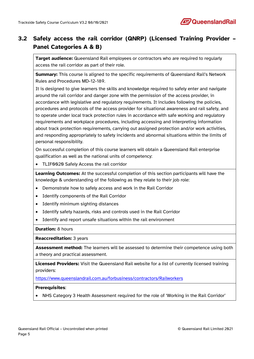

## **3.2 Safely access the rail corridor (QNRP) (Licensed Training Provider – Panel Categories A & B)**

**Target audience:** Queensland Rail employees or contractors who are required to regularly access the rail corridor as part of their role.

**Summary:** This course is aligned to the specific requirements of Queensland Rail's Network Rules and Procedures MD-12-189.

It is designed to give learners the skills and knowledge required to safely enter and navigate around the rail corridor and danger zone with the permission of the access provider, in accordance with legislative and regulatory requirements. It includes following the policies, procedures and protocols of the access provider for situational awareness and rail safety, and to operate under local track protection rules in accordance with safe working and regulatory requirements and workplace procedures, including accessing and interpreting information about track protection requirements, carrying out assigned protection and/or work activities, and responding appropriately to safety incidents and abnormal situations within the limits of personal responsibility.

On successful completion of this course learners will obtain a Queensland Rail enterprise qualification as well as the national units of competency:

• TLIF0020 Safely Access the rail corridor

**Learning Outcomes:** At the successful completion of this section participants will have the knowledge & understanding of the following as they relate to their job role:

- Demonstrate how to safely access and work in the Rail Corridor
- Identify components of the Rail Corridor
- Identify minimum sighting distances
- Identify safety hazards, risks and controls used in the Rail Corridor
- Identify and report unsafe situations within the rail environment

**Duration:** 8 hours

**Reaccreditation:** 3 years

**Assessment method:** The learners will be assessed to determine their competence using both a theory and practical assessment.

**Licensed Providers:** Visit the Queensland Rail website for a list of currently licensed training providers:

<https://www.queenslandrail.com.au/forbusiness/contractors/Railworkers>

#### **Prerequisites**:

• NHS Category 3 Health Assessment required for the role of 'Working in the Rail Corridor'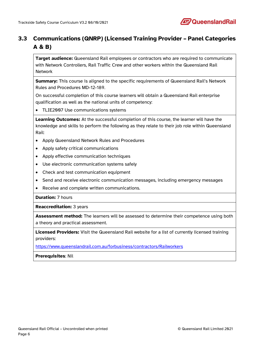

## **3.3 Communications (QNRP) (Licensed Training Provider – Panel Categories A & B)**

**Target audience:** Queensland Rail employees or contractors who are required to communicate with Network Controllers, Rail Traffic Crew and other workers within the Queensland Rail Network

**Summary:** This course is aligned to the specific requirements of Queensland Rail's Network Rules and Procedures MD-12-189.

On successful completion of this course learners will obtain a Queensland Rail enterprise qualification as well as the national units of competency:

• TLIE2007 Use communications systems

**Learning Outcomes:** At the successful completion of this course, the learner will have the knowledge and skills to perform the following as they relate to their job role within Queensland Rail:

- Apply Queensland Network Rules and Procedures
- Apply safety critical communications
- Apply effective communication techniques
- Use electronic communication systems safely
- Check and test communication equipment
- Send and receive electronic communication messages, including emergency messages
- Receive and complete written communications.

**Duration:** 7 hours

**Reaccreditation:** 3 years

**Assessment method:** The learners will be assessed to determine their competence using both a theory and practical assessment.

**Licensed Providers:** Visit the Queensland Rail website for a list of currently licensed training providers:

<https://www.queenslandrail.com.au/forbusiness/contractors/Railworkers>

**Prerequisites**: Nil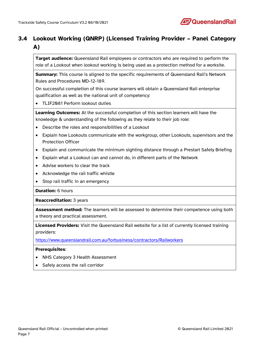

## **3.4 Lookout Working (QNRP) (Licensed Training Provider – Panel Category A)**

**Target audience:** Queensland Rail employees or contractors who are required to perform the role of a Lookout when lookout working is being used as a protection method for a worksite.

**Summary:** This course is aligned to the specific requirements of Queensland Rail's Network Rules and Procedures MD-12-189.

On successful completion of this course learners will obtain a Queensland Rail enterprise qualification as well as the national unit of competency:

• TLIF2081 Perform lookout duties

**Learning Outcomes:** At the successful completion of this section learners will have the knowledge & understanding of the following as they relate to their job role:

- Describe the roles and responsibilities of a Lookout
- Explain how Lookouts communicate with the workgroup, other Lookouts, supervisors and the Protection Officer
- Explain and communicate the minimum sighting distance through a Prestart Safety Briefing
- Explain what a Lookout can and cannot do, in different parts of the Network
- Advise workers to clear the track
- Acknowledge the rail traffic whistle
- Stop rail traffic in an emergency

**Duration:** 6 hours

**Reaccreditation:** 3 years

**Assessment method:** The learners will be assessed to determine their competence using both a theory and practical assessment.

**Licensed Providers:** Visit the Queensland Rail website for a list of currently licensed training providers:

<https://www.queenslandrail.com.au/forbusiness/contractors/Railworkers>

- NHS Category 3 Health Assessment
- Safely access the rail corridor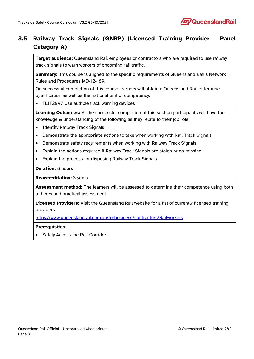

## **3.5 Railway Track Signals (QNRP) (Licensed Training Provider – Panel Category A)**

**Target audience:** Queensland Rail employees or contractors who are required to use railway track signals to warn workers of oncoming rail traffic.

**Summary:** This course is aligned to the specific requirements of Queensland Rail's Network Rules and Procedures MD-12-189.

On successful completion of this course learners will obtain a Queensland Rail enterprise qualification as well as the national unit of competency:

• TLIF2097 Use audible track warning devices

**Learning Outcomes:** At the successful completion of this section participants will have the knowledge & understanding of the following as they relate to their job role:

- Identify Railway Track Signals
- Demonstrate the appropriate actions to take when working with Rail Track Signals
- Demonstrate safety requirements when working with Railway Track Signals
- Explain the actions required if Railway Track Signals are stolen or go missing
- Explain the process for disposing Railway Track Signals

**Duration:** 8 hours

**Reaccreditation:** 3 years

**Assessment method:** The learners will be assessed to determine their competence using both a theory and practical assessment.

**Licensed Providers:** Visit the Queensland Rail website for a list of currently licensed training providers:

<https://www.queenslandrail.com.au/forbusiness/contractors/Railworkers>

#### **Prerequisites**:

• Safely Access the Rail Corridor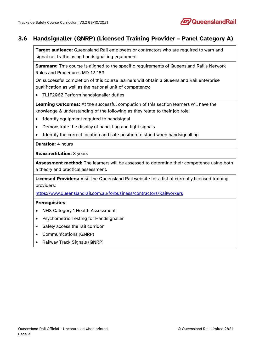

### **3.6 Handsignaller (QNRP) (Licensed Training Provider – Panel Category A)**

**Target audience:** Queensland Rail employees or contractors who are required to warn and signal rail traffic using handsignalling equipment.

**Summary:** This course is aligned to the specific requirements of Queensland Rail's Network Rules and Procedures MD-12-189.

On successful completion of this course learners will obtain a Queensland Rail enterprise qualification as well as the national unit of competency:

• TLIF2082 Perform handsignaller duties

**Learning Outcomes:** At the successful completion of this section learners will have the knowledge & understanding of the following as they relate to their job role:

- Identify equipment required to handsignal
- Demonstrate the display of hand, flag and light signals
- Identify the correct location and safe position to stand when handsignalling

**Duration:** 4 hours

**Reaccreditation:** 3 years

**Assessment method:** The learners will be assessed to determine their competence using both a theory and practical assessment.

**Licensed Providers:** Visit the Queensland Rail website for a list of currently licensed training providers:

<https://www.queenslandrail.com.au/forbusiness/contractors/Railworkers>

- NHS Category 1 Health Assessment
- Psychometric Testing for Handsignaller
- Safely access the rail corridor
- Communications (QNRP)
- Railway Track Signals (QNRP)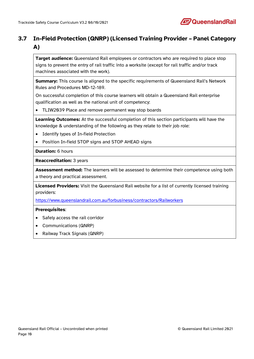

## **3.7 In-Field Protection (QNRP) (Licensed Training Provider – Panel Category A)**

**Target audience:** Queensland Rail employees or contractors who are required to place stop signs to prevent the entry of rail traffic into a worksite (except for rail traffic and/or track machines associated with the work).

**Summary:** This course is aligned to the specific requirements of Queensland Rail's Network Rules and Procedures MD-12-189.

On successful completion of this course learners will obtain a Queensland Rail enterprise qualification as well as the national unit of competency:

• TLIW2039 Place and remove permanent way stop boards

**Learning Outcomes:** At the successful completion of this section participants will have the knowledge & understanding of the following as they relate to their job role:

- Identify types of In-field Protection
- Position In-field STOP signs and STOP AHEAD signs

#### **Duration:** 6 hours

**Reaccreditation:** 3 years

**Assessment method:** The learners will be assessed to determine their competence using both a theory and practical assessment.

**Licensed Providers:** Visit the Queensland Rail website for a list of currently licensed training providers:

<https://www.queenslandrail.com.au/forbusiness/contractors/Railworkers>

- Safely access the rail corridor
- Communications (QNRP)
- Railway Track Signals (QNRP)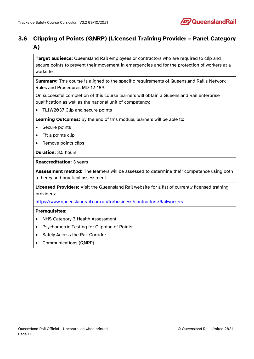

## **3.8 Clipping of Points (QNRP) (Licensed Training Provider – Panel Category A)**

**Target audience:** Queensland Rail employees or contractors who are required to clip and secure points to prevent their movement in emergencies and for the protection of workers at a worksite.

**Summary:** This course is aligned to the specific requirements of Queensland Rail's Network Rules and Procedures MD-12-189.

On successful completion of this course learners will obtain a Queensland Rail enterprise qualification as well as the national unit of competency:

• TLIW2037 Clip and secure points

**Learning Outcomes:** By the end of this module, learners will be able to:

- Secure points
- Fit a points clip
- Remove points clips

**Duration:** 3.5 hours

**Reaccreditation:** 3 years

**Assessment method:** The learners will be assessed to determine their competence using both a theory and practical assessment.

**Licensed Providers:** Visit the Queensland Rail website for a list of currently licensed training providers:

<https://www.queenslandrail.com.au/forbusiness/contractors/Railworkers>

- NHS Category 3 Health Assessment
- Psychometric Testing for Clipping of Points
- Safely Access the Rail Corridor
- Communications (QNRP)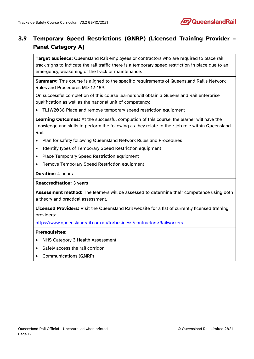

## **3.9 Temporary Speed Restrictions (QNRP) (Licensed Training Provider – Panel Category A)**

**Target audience:** Queensland Rail employees or contractors who are required to place rail track signs to indicate the rail traffic there is a temporary speed restriction in place due to an emergency, weakening of the track or maintenance.

**Summary:** This course is aligned to the specific requirements of Queensland Rail's Network Rules and Procedures MD-12-189.

On successful completion of this course learners will obtain a Queensland Rail enterprise qualification as well as the national unit of competency:

• TLIW2038 Place and remove temporary speed restriction equipment

**Learning Outcomes:** At the successful completion of this course, the learner will have the knowledge and skills to perform the following as they relate to their job role within Queensland Rail:

- Plan for safety following Queensland Network Rules and Procedures
- Identify types of Temporary Speed Restriction equipment
- Place Temporary Speed Restriction equipment
- Remove Temporary Speed Restriction equipment

**Duration:** 4 hours

**Reaccreditation:** 3 years

**Assessment method:** The learners will be assessed to determine their competence using both a theory and practical assessment.

**Licensed Providers:** Visit the Queensland Rail website for a list of currently licensed training providers:

<https://www.queenslandrail.com.au/forbusiness/contractors/Railworkers>

- NHS Category 3 Health Assessment
- Safely access the rail corridor
- Communications (QNRP)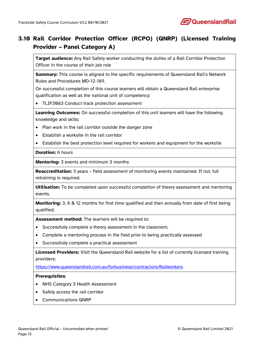

## **3.10 Rail Corridor Protection Officer (RCPO) (QNRP) (Licensed Training Provider – Panel Category A)**

**Target audience:** Any Rail Safety worker conducting the duties of a Rail Corridor Protection Officer in the course of their job role

**Summary:** This course is aligned to the specific requirements of Queensland Rail's Network Rules and Procedures MD-12-189.

On successful completion of this course learners will obtain a Queensland Rail enterprise qualification as well as the national unit of competency:

• TLIF3083 Conduct track protection assessment

**Learning Outcomes:** On successful completion of this unit learners will have the following knowledge and skills:

- Plan work in the rail corridor outside the danger zone
- Establish a worksite in the rail corridor
- Establish the best protection level required for workers and equipment for the worksite

**Duration:** 6 hours

**Mentoring:** 3 events and minimum 3 months

**Reaccreditation:** 3 years – field assessment of monitoring events maintained. If not, full retraining is required.

Utilisation: To be completed upon successful completion of theory assessment and mentoring events.

**Monitoring:** 3, 6 & 12 months for first time qualified and then annually from date of first being qualified.

**Assessment method:** The learners will be required to:

- Successfully complete a theory assessment in the classroom,
- Complete a mentoring process in the field prior to being practically assessed
- Successfully complete a practical assessment

**Licensed Providers:** Visit the Queensland Rail website for a list of currently licensed training providers:

<https://www.queenslandrail.com.au/forbusiness/contractors/Railworkers>

- NHS Category 3 Health Assessment
- Safely access the rail corridor
- Communications QNRP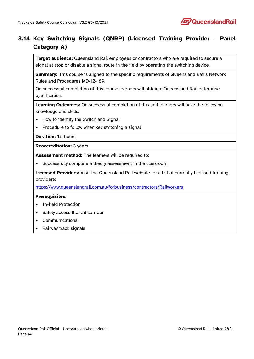

## **3.14 Key Switching Signals (QNRP) (Licensed Training Provider – Panel Category A)**

**Target audience:** Queensland Rail employees or contractors who are required to secure a signal at stop or disable a signal route in the field by operating the switching device.

**Summary:** This course is aligned to the specific requirements of Queensland Rail's Network Rules and Procedures MD-12-189.

On successful completion of this course learners will obtain a Queensland Rail enterprise qualification.

**Learning Outcomes:** On successful completion of this unit learners will have the following knowledge and skills:

- How to identify the Switch and Signal
- Procedure to follow when key switching a signal

**Duration:** 1.5 hours

**Reaccreditation:** 3 years

**Assessment method:** The learners will be required to:

• Successfully complete a theory assessment in the classroom

**Licensed Providers:** Visit the Queensland Rail website for a list of currently licensed training providers:

<https://www.queenslandrail.com.au/forbusiness/contractors/Railworkers>

- In-field Protection
- Safely access the rail corridor
- **Communications**
- Railway track signals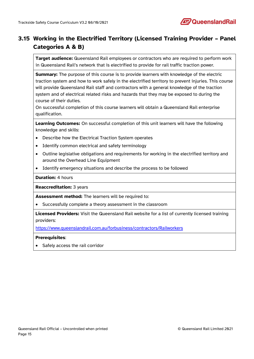

## **3.15 Working in the Electrified Territory (Licensed Training Provider – Panel Categories A & B)**

**Target audience:** Queensland Rail employees or contractors who are required to perform work in Queensland Rail's network that is electrified to provide for rail traffic traction power.

**Summary:** The purpose of this course is to provide learners with knowledge of the electric traction system and how to work safely in the electrified territory to prevent injuries. This course will provide Queensland Rail staff and contractors with a general knowledge of the traction system and of electrical related risks and hazards that they may be exposed to during the course of their duties.

On successful completion of this course learners will obtain a Queensland Rail enterprise qualification.

**Learning Outcomes:** On successful completion of this unit learners will have the following knowledge and skills:

- Describe how the Electrical Traction System operates
- Identify common electrical and safety terminology
- Outline legislative obligations and requirements for working in the electrified territory and around the Overhead Line Equipment
- Identify emergency situations and describe the process to be followed

**Duration:** 4 hours

**Reaccreditation:** 3 years

**Assessment method:** The learners will be required to:

• Successfully complete a theory assessment in the classroom

**Licensed Providers:** Visit the Queensland Rail website for a list of currently licensed training providers:

<https://www.queenslandrail.com.au/forbusiness/contractors/Railworkers>

#### **Prerequisites**:

Safely access the rail corridor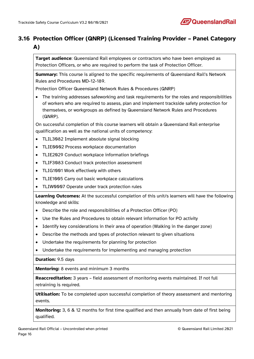

## **3.16 Protection Officer (QNRP) (Licensed Training Provider – Panel Category A)**

**Target audience**: Queensland Rail employees or contractors who have been employed as Protection Officers, or who are required to perform the task of Protection Officer.

**Summary:** This course is aligned to the specific requirements of Queensland Rail's Network Rules and Procedures MD-12-189.

Protection Officer Queensland Network Rules & Procedures (QNRP)

• The training addresses safeworking and task requirements for the roles and responsibilities of workers who are required to assess, plan and implement trackside safety protection for themselves, or workgroups as defined by Queensland Network Rules and Procedures (QNRP).

On successful completion of this course learners will obtain a Queensland Rail enterprise qualification as well as the national units of competency:

- TLIL3082 Implement absolute signal blocking
- TLIE0002 Process workplace documentation
- TLIE2029 Conduct workplace information briefings
- TLIF3083 Conduct track protection assessment
- TLIG1001 Work effectively with others
- TLIE1005 Carry out basic workplace calculations
- TLIW0007 Operate under track protection rules

**Learning Outcomes:** At the successful completion of this unit/s learners will have the following knowledge and skills:

- Describe the role and responsibilities of a Protection Officer (PO)
- Use the Rules and Procedures to obtain relevant information for PO activity
- Identify key considerations in their area of operation (Walking in the danger zone)
- Describe the methods and types of protection relevant to given situations
- Undertake the requirements for planning for protection
- Undertake the requirements for implementing and managing protection

**Duration:** 9.5 days

**Mentoring:** 8 events and minimum 3 months

**Reaccreditation:** 3 years – field assessment of monitoring events maintained. If not full retraining is required.

**Utilisation:** To be completed upon successful completion of theory assessment and mentoring events.

**Monitoring:** 3, 6 & 12 months for first time qualified and then annually from date of first being qualified.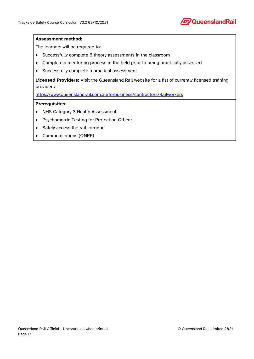

#### **Assessment method:**

The learners will be required to:

- Successfully complete 6 theory assessments in the classroom
- Complete a mentoring process in the field prior to being practically assessed
- Successfully complete a practical assessment

**Licensed Providers:** Visit the Queensland Rail website for a list of currently licensed training providers:

<https://www.queenslandrail.com.au/forbusiness/contractors/Railworkers>

- NHS Category 3 Health Assessment
- Psychometric Testing for Protection Officer
- Safely access the rail corridor
- Communications (QNRP)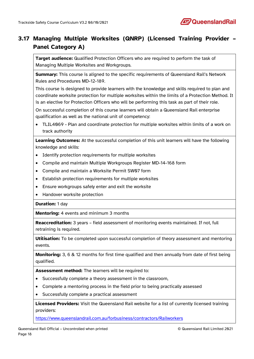

## **3.17 Managing Multiple Worksites (QNRP) (Licensed Training Provider – Panel Category A)**

**Target audience:** Qualified Protection Officers who are required to perform the task of Managing Multiple Worksites and Workgroups.

**Summary:** This course is aligned to the specific requirements of Queensland Rail's Network Rules and Procedures MD-12-189.

This course is designed to provide learners with the knowledge and skills required to plan and coordinate worksite protection for multiple worksites within the limits of a Protection Method. It is an elective for Protection Officers who will be performing this task as part of their role.

On successful completion of this course learners will obtain a Queensland Rail enterprise qualification as well as the national unit of competency:

• TLIL4069 - Plan and coordinate protection for multiple worksites within limits of a work on track authority

**Learning Outcomes:** At the successful completion of this unit learners will have the following knowledge and skills:

- Identify protection requirements for multiple worksites
- Compile and maintain Multiple Workgroups Register MD-14-168 form
- Compile and maintain a Worksite Permit SW07 form
- Establish protection requirements for multiple worksites
- Ensure workgroups safely enter and exit the worksite
- Handover worksite protection

#### **Duration:** 1 day

**Mentoring:** 4 events and minimum 3 months

**Reaccreditation:** 3 years – field assessment of monitoring events maintained. If not, full retraining is required.

**Utilisation:** To be completed upon successful completion of theory assessment and mentoring events.

**Monitoring:** 3, 6 & 12 months for first time qualified and then annually from date of first being qualified.

**Assessment method:** The learners will be required to:

- Successfully complete a theory assessment in the classroom,
- Complete a mentoring process in the field prior to being practically assessed
- Successfully complete a practical assessment

**Licensed Providers:** Visit the Queensland Rail website for a list of currently licensed training providers:

<https://www.queenslandrail.com.au/forbusiness/contractors/Railworkers>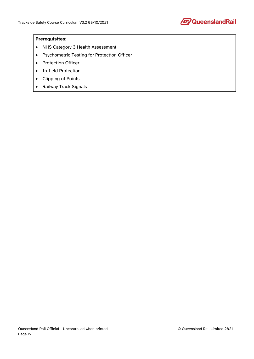

- NHS Category 3 Health Assessment
- Psychometric Testing for Protection Officer
- Protection Officer
- In-field Protection
- Clipping of Points
- Railway Track Signals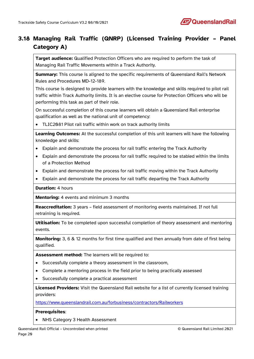

## **3.18 Managing Rail Traffic (QNRP) (Licensed Training Provider – Panel Category A)**

**Target audience:** Qualified Protection Officers who are required to perform the task of Managing Rail Traffic Movements within a Track Authority.

**Summary:** This course is aligned to the specific requirements of Queensland Rail's Network Rules and Procedures MD-12-189.

This course is designed to provide learners with the knowledge and skills required to pilot rail traffic within Track Authority limits. It is an elective course for Protection Officers who will be performing this task as part of their role.

On successful completion of this course learners will obtain a Queensland Rail enterprise qualification as well as the national unit of competency:

• TLIC2081 Pilot rail traffic within work on track authority limits

**Learning Outcomes:** At the successful completion of this unit learners will have the following knowledge and skills:

- Explain and demonstrate the process for rail traffic entering the Track Authority
- Explain and demonstrate the process for rail traffic required to be stabled within the limits of a Protection Method
- Explain and demonstrate the process for rail traffic moving within the Track Authority
- Explain and demonstrate the process for rail traffic departing the Track Authority

**Duration:** 4 hours

**Mentoring:** 4 events and minimum 3 months

**Reaccreditation:** 3 years – field assessment of monitoring events maintained. If not full retraining is required.

**Utilisation:** To be completed upon successful completion of theory assessment and mentoring events.

**Monitoring:** 3, 6 & 12 months for first time qualified and then annually from date of first being qualified.

**Assessment method:** The learners will be required to:

- Successfully complete a theory assessment in the classroom,
- Complete a mentoring process in the field prior to being practically assessed
- Successfully complete a practical assessment

**Licensed Providers:** Visit the Queensland Rail website for a list of currently licensed training providers:

<https://www.queenslandrail.com.au/forbusiness/contractors/Railworkers>

#### **Prerequisites**:

• NHS Category 3 Health Assessment